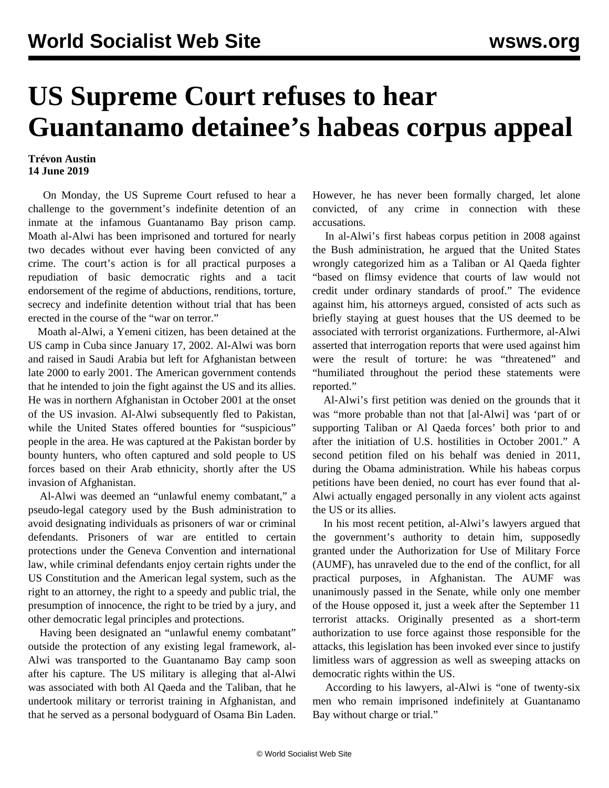## **US Supreme Court refuses to hear Guantanamo detainee's habeas corpus appeal**

## **Trévon Austin 14 June 2019**

 On Monday, the US Supreme Court refused to hear a challenge to the government's indefinite detention of an inmate at the infamous Guantanamo Bay prison camp. Moath al-Alwi has been imprisoned and tortured for nearly two decades without ever having been convicted of any crime. The court's action is for all practical purposes a repudiation of basic democratic rights and a tacit endorsement of the regime of abductions, renditions, torture, secrecy and indefinite detention without trial that has been erected in the course of the "war on terror."

 Moath al-Alwi, a Yemeni citizen, has been detained at the US camp in Cuba since January 17, 2002. Al-Alwi was born and raised in Saudi Arabia but left for Afghanistan between late 2000 to early 2001. The American government contends that he intended to join the fight against the US and its allies. He was in northern Afghanistan in October 2001 at the onset of the US invasion. Al-Alwi subsequently fled to Pakistan, while the United States offered bounties for "suspicious" people in the area. He was captured at the Pakistan border by bounty hunters, who often captured and sold people to US forces based on their Arab ethnicity, shortly after the US invasion of Afghanistan.

 Al-Alwi was deemed an "unlawful enemy combatant," a pseudo-legal category used by the Bush administration to avoid designating individuals as prisoners of war or criminal defendants. Prisoners of war are entitled to certain protections under the Geneva Convention and international law, while criminal defendants enjoy certain rights under the US Constitution and the American legal system, such as the right to an attorney, the right to a speedy and public trial, the presumption of innocence, the right to be tried by a jury, and other democratic legal principles and protections.

 Having been designated an "unlawful enemy combatant" outside the protection of any existing legal framework, al-Alwi was transported to the Guantanamo Bay camp soon after his capture. The US military is alleging that al-Alwi was associated with both Al Qaeda and the Taliban, that he undertook military or terrorist training in Afghanistan, and that he served as a personal bodyguard of Osama Bin Laden. However, he has never been formally charged, let alone convicted, of any crime in connection with these accusations.

 In al-Alwi's first habeas corpus petition in 2008 against the Bush administration, he argued that the United States wrongly categorized him as a Taliban or Al Qaeda fighter "based on flimsy evidence that courts of law would not credit under ordinary standards of proof." The evidence against him, his attorneys argued, consisted of acts such as briefly staying at guest houses that the US deemed to be associated with terrorist organizations. Furthermore, al-Alwi asserted that interrogation reports that were used against him were the result of torture: he was "threatened" and "humiliated throughout the period these statements were reported."

 Al-Alwi's first petition was denied on the grounds that it was "more probable than not that [al-Alwi] was 'part of or supporting Taliban or Al Qaeda forces' both prior to and after the initiation of U.S. hostilities in October 2001." A second petition filed on his behalf was denied in 2011, during the Obama administration. While his habeas corpus petitions have been denied, no court has ever found that al-Alwi actually engaged personally in any violent acts against the US or its allies.

 In his most recent petition, al-Alwi's lawyers argued that the government's authority to detain him, supposedly granted under the Authorization for Use of Military Force (AUMF), has unraveled due to the end of the conflict, for all practical purposes, in Afghanistan. The AUMF was unanimously passed in the Senate, while only one member of the House opposed it, just a week after the September 11 terrorist attacks. Originally presented as a short-term authorization to use force against those responsible for the attacks, this legislation has been invoked ever since to justify limitless wars of aggression as well as sweeping attacks on democratic rights within the US.

 According to his lawyers, al-Alwi is "one of twenty-six men who remain imprisoned indefinitely at Guantanamo Bay without charge or trial."